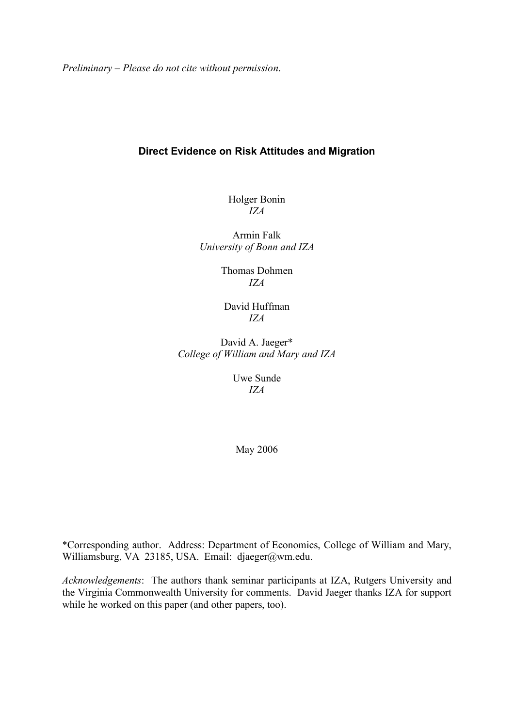*Preliminary – Please do not cite without permission*.

# **Direct Evidence on Risk Attitudes and Migration**

Holger Bonin *IZA*

Armin Falk *University of Bonn and IZA*

> Thomas Dohmen *IZA*

David Huffman *IZA*

David A. Jaeger\* *College of William and Mary and IZA*

> Uwe Sunde *IZA*

May 2006

\*Corresponding author. Address: Department of Economics, College of William and Mary, Williamsburg, VA 23185, USA. Email: djaeger@wm.edu.

*Acknowledgements*: The authors thank seminar participants at IZA, Rutgers University and the Virginia Commonwealth University for comments. David Jaeger thanks IZA for support while he worked on this paper (and other papers, too).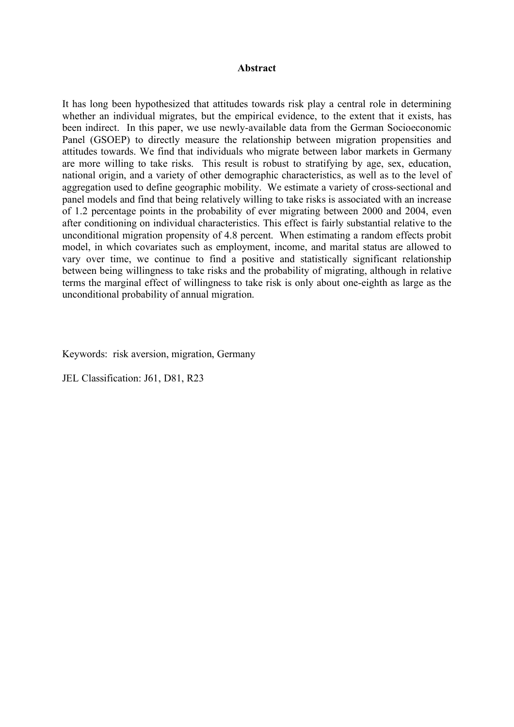#### **Abstract**

It has long been hypothesized that attitudes towards risk play a central role in determining whether an individual migrates, but the empirical evidence, to the extent that it exists, has been indirect. In this paper, we use newly-available data from the German Socioeconomic Panel (GSOEP) to directly measure the relationship between migration propensities and attitudes towards. We find that individuals who migrate between labor markets in Germany are more willing to take risks. This result is robust to stratifying by age, sex, education, national origin, and a variety of other demographic characteristics, as well as to the level of aggregation used to define geographic mobility. We estimate a variety of cross-sectional and panel models and find that being relatively willing to take risks is associated with an increase of 1.2 percentage points in the probability of ever migrating between 2000 and 2004, even after conditioning on individual characteristics. This effect is fairly substantial relative to the unconditional migration propensity of 4.8 percent. When estimating a random effects probit model, in which covariates such as employment, income, and marital status are allowed to vary over time, we continue to find a positive and statistically significant relationship between being willingness to take risks and the probability of migrating, although in relative terms the marginal effect of willingness to take risk is only about one-eighth as large as the unconditional probability of annual migration.

Keywords: risk aversion, migration, Germany

JEL Classification: J61, D81, R23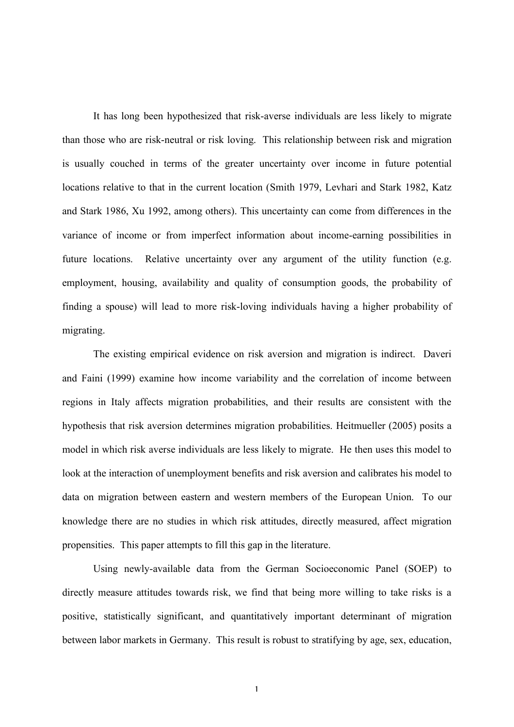It has long been hypothesized that risk-averse individuals are less likely to migrate than those who are risk-neutral or risk loving. This relationship between risk and migration is usually couched in terms of the greater uncertainty over income in future potential locations relative to that in the current location (Smith 1979, Levhari and Stark 1982, Katz and Stark 1986, Xu 1992, among others). This uncertainty can come from differences in the variance of income or from imperfect information about income-earning possibilities in future locations. Relative uncertainty over any argument of the utility function (e.g. employment, housing, availability and quality of consumption goods, the probability of finding a spouse) will lead to more risk-loving individuals having a higher probability of migrating.

The existing empirical evidence on risk aversion and migration is indirect. Daveri and Faini (1999) examine how income variability and the correlation of income between regions in Italy affects migration probabilities, and their results are consistent with the hypothesis that risk aversion determines migration probabilities. Heitmueller (2005) posits a model in which risk averse individuals are less likely to migrate. He then uses this model to look at the interaction of unemployment benefits and risk aversion and calibrates his model to data on migration between eastern and western members of the European Union. To our knowledge there are no studies in which risk attitudes, directly measured, affect migration propensities. This paper attempts to fill this gap in the literature.

Using newly-available data from the German Socioeconomic Panel (SOEP) to directly measure attitudes towards risk, we find that being more willing to take risks is a positive, statistically significant, and quantitatively important determinant of migration between labor markets in Germany. This result is robust to stratifying by age, sex, education,

1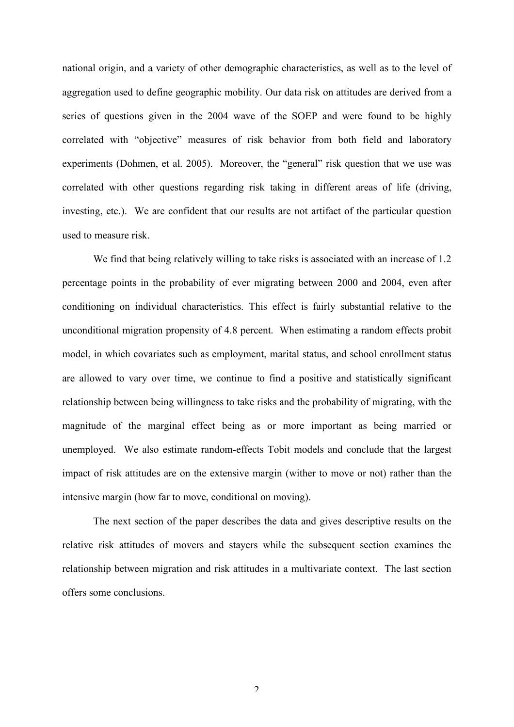national origin, and a variety of other demographic characteristics, as well as to the level of aggregation used to define geographic mobility. Our data risk on attitudes are derived from a series of questions given in the 2004 wave of the SOEP and were found to be highly correlated with "objective" measures of risk behavior from both field and laboratory experiments (Dohmen, et al. 2005). Moreover, the "general" risk question that we use was correlated with other questions regarding risk taking in different areas of life (driving, investing, etc.). We are confident that our results are not artifact of the particular question used to measure risk.

We find that being relatively willing to take risks is associated with an increase of 1.2 percentage points in the probability of ever migrating between 2000 and 2004, even after conditioning on individual characteristics. This effect is fairly substantial relative to the unconditional migration propensity of 4.8 percent. When estimating a random effects probit model, in which covariates such as employment, marital status, and school enrollment status are allowed to vary over time, we continue to find a positive and statistically significant relationship between being willingness to take risks and the probability of migrating, with the magnitude of the marginal effect being as or more important as being married or unemployed. We also estimate random-effects Tobit models and conclude that the largest impact of risk attitudes are on the extensive margin (wither to move or not) rather than the intensive margin (how far to move, conditional on moving).

The next section of the paper describes the data and gives descriptive results on the relative risk attitudes of movers and stayers while the subsequent section examines the relationship between migration and risk attitudes in a multivariate context. The last section offers some conclusions.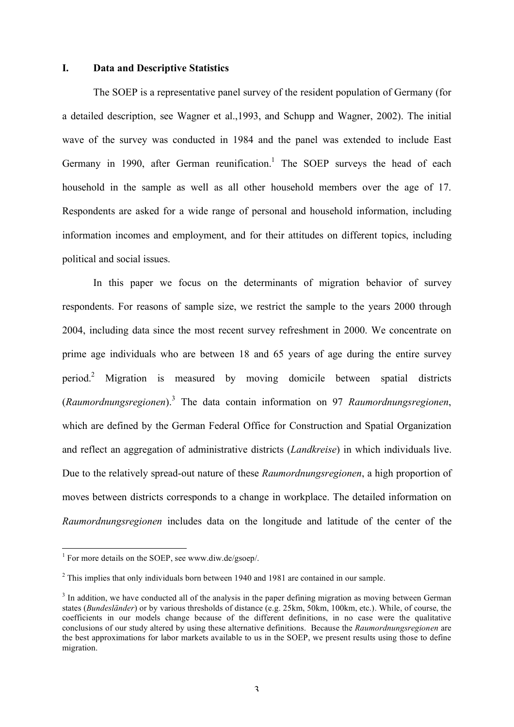### **I. Data and Descriptive Statistics**

The SOEP is a representative panel survey of the resident population of Germany (for a detailed description, see Wagner et al.,1993, and Schupp and Wagner, 2002). The initial wave of the survey was conducted in 1984 and the panel was extended to include East Germany in 1990, after German reunification.<sup>1</sup> The SOEP surveys the head of each household in the sample as well as all other household members over the age of 17. Respondents are asked for a wide range of personal and household information, including information incomes and employment, and for their attitudes on different topics, including political and social issues.

In this paper we focus on the determinants of migration behavior of survey respondents. For reasons of sample size, we restrict the sample to the years 2000 through 2004, including data since the most recent survey refreshment in 2000. We concentrate on prime age individuals who are between 18 and 65 years of age during the entire survey period.2 Migration is measured by moving domicile between spatial districts (*Raumordnungsregionen*). <sup>3</sup> The data contain information on 97 *Raumordnungsregionen*, which are defined by the German Federal Office for Construction and Spatial Organization and reflect an aggregation of administrative districts (*Landkreise*) in which individuals live. Due to the relatively spread-out nature of these *Raumordnungsregionen*, a high proportion of moves between districts corresponds to a change in workplace. The detailed information on *Raumordnungsregionen* includes data on the longitude and latitude of the center of the

 $1$  For more details on the SOEP, see www.diw.de/gsoep/.

<sup>&</sup>lt;sup>2</sup> This implies that only individuals born between 1940 and 1981 are contained in our sample.

<sup>&</sup>lt;sup>3</sup> In addition, we have conducted all of the analysis in the paper defining migration as moving between German states (*Bundesländer*) or by various thresholds of distance (e.g. 25km, 50km, 100km, etc.). While, of course, the coefficients in our models change because of the different definitions, in no case were the qualitative conclusions of our study altered by using these alternative definitions. Because the *Raumordnungsregionen* are the best approximations for labor markets available to us in the SOEP, we present results using those to define migration.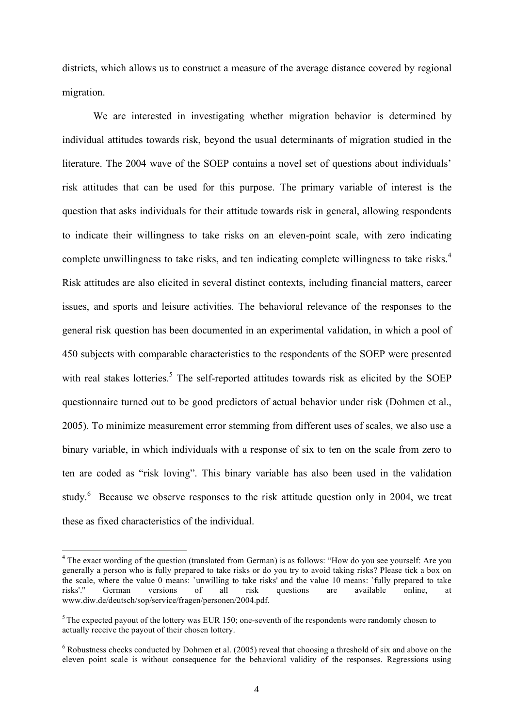districts, which allows us to construct a measure of the average distance covered by regional migration.

We are interested in investigating whether migration behavior is determined by individual attitudes towards risk, beyond the usual determinants of migration studied in the literature. The 2004 wave of the SOEP contains a novel set of questions about individuals' risk attitudes that can be used for this purpose. The primary variable of interest is the question that asks individuals for their attitude towards risk in general, allowing respondents to indicate their willingness to take risks on an eleven-point scale, with zero indicating complete unwillingness to take risks, and ten indicating complete willingness to take risks. 4 Risk attitudes are also elicited in several distinct contexts, including financial matters, career issues, and sports and leisure activities. The behavioral relevance of the responses to the general risk question has been documented in an experimental validation, in which a pool of 450 subjects with comparable characteristics to the respondents of the SOEP were presented with real stakes lotteries.<sup>5</sup> The self-reported attitudes towards risk as elicited by the SOEP questionnaire turned out to be good predictors of actual behavior under risk (Dohmen et al., 2005). To minimize measurement error stemming from different uses of scales, we also use a binary variable, in which individuals with a response of six to ten on the scale from zero to ten are coded as "risk loving". This binary variable has also been used in the validation study.<sup>6</sup> Because we observe responses to the risk attitude question only in 2004, we treat these as fixed characteristics of the individual.

<sup>&</sup>lt;sup>4</sup> The exact wording of the question (translated from German) is as follows: "How do you see yourself: Are you generally a person who is fully prepared to take risks or do you try to avoid taking risks? Please tick a box on the scale, where the value 0 means: `unwilling to take risks' and the value 10 means: `fully prepared to take risks'." German versions of all risk questions are available online, at risks'.'' German versions of all risk questions are available online, at www.diw.de/deutsch/sop/service/fragen/personen/2004.pdf.

 $<sup>5</sup>$  The expected payout of the lottery was EUR 150; one-seventh of the respondents were randomly chosen to</sup> actually receive the payout of their chosen lottery.

<sup>6</sup> Robustness checks conducted by Dohmen et al. (2005) reveal that choosing a threshold of six and above on the eleven point scale is without consequence for the behavioral validity of the responses. Regressions using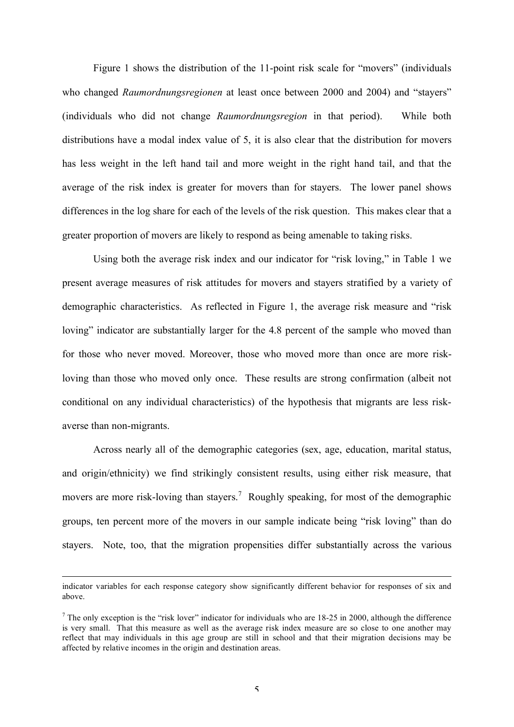Figure 1 shows the distribution of the 11-point risk scale for "movers" (individuals who changed *Raumordnungsregionen* at least once between 2000 and 2004) and "stayers" (individuals who did not change *Raumordnungsregion* in that period). While both distributions have a modal index value of 5, it is also clear that the distribution for movers has less weight in the left hand tail and more weight in the right hand tail, and that the average of the risk index is greater for movers than for stayers. The lower panel shows differences in the log share for each of the levels of the risk question. This makes clear that a greater proportion of movers are likely to respond as being amenable to taking risks.

Using both the average risk index and our indicator for "risk loving," in Table 1 we present average measures of risk attitudes for movers and stayers stratified by a variety of demographic characteristics. As reflected in Figure 1, the average risk measure and "risk loving" indicator are substantially larger for the 4.8 percent of the sample who moved than for those who never moved. Moreover, those who moved more than once are more riskloving than those who moved only once. These results are strong confirmation (albeit not conditional on any individual characteristics) of the hypothesis that migrants are less riskaverse than non-migrants.

Across nearly all of the demographic categories (sex, age, education, marital status, and origin/ethnicity) we find strikingly consistent results, using either risk measure, that movers are more risk-loving than stayers.<sup>7</sup> Roughly speaking, for most of the demographic groups, ten percent more of the movers in our sample indicate being "risk loving" than do stayers. Note, too, that the migration propensities differ substantially across the various

 $\overline{a}$ 

indicator variables for each response category show significantly different behavior for responses of six and above.

<sup>&</sup>lt;sup>7</sup> The only exception is the "risk lover" indicator for individuals who are 18-25 in 2000, although the difference is very small. That this measure as well as the average risk index measure are so close to one another may reflect that may individuals in this age group are still in school and that their migration decisions may be affected by relative incomes in the origin and destination areas.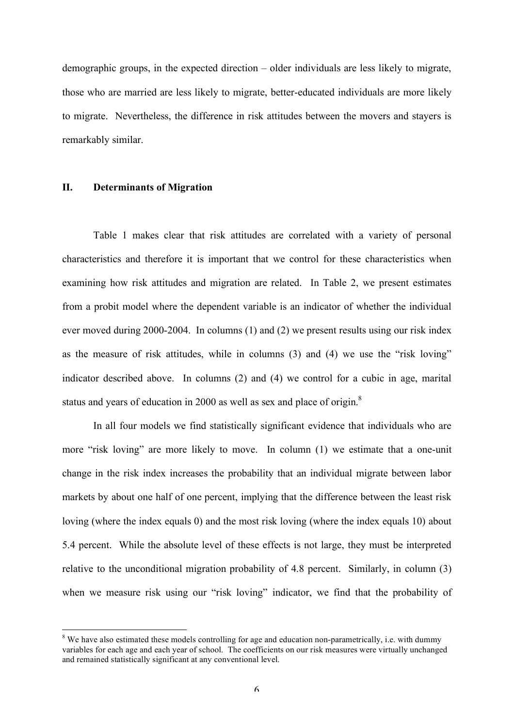demographic groups, in the expected direction – older individuals are less likely to migrate, those who are married are less likely to migrate, better-educated individuals are more likely to migrate. Nevertheless, the difference in risk attitudes between the movers and stayers is remarkably similar.

## **II. Determinants of Migration**

Table 1 makes clear that risk attitudes are correlated with a variety of personal characteristics and therefore it is important that we control for these characteristics when examining how risk attitudes and migration are related. In Table 2, we present estimates from a probit model where the dependent variable is an indicator of whether the individual ever moved during 2000-2004. In columns (1) and (2) we present results using our risk index as the measure of risk attitudes, while in columns (3) and (4) we use the "risk loving" indicator described above. In columns (2) and (4) we control for a cubic in age, marital status and years of education in 2000 as well as sex and place of origin.<sup>8</sup>

In all four models we find statistically significant evidence that individuals who are more "risk loving" are more likely to move. In column (1) we estimate that a one-unit change in the risk index increases the probability that an individual migrate between labor markets by about one half of one percent, implying that the difference between the least risk loving (where the index equals 0) and the most risk loving (where the index equals 10) about 5.4 percent. While the absolute level of these effects is not large, they must be interpreted relative to the unconditional migration probability of 4.8 percent. Similarly, in column (3) when we measure risk using our "risk loving" indicator, we find that the probability of

<sup>&</sup>lt;sup>8</sup> We have also estimated these models controlling for age and education non-parametrically, i.e. with dummy variables for each age and each year of school. The coefficients on our risk measures were virtually unchanged and remained statistically significant at any conventional level.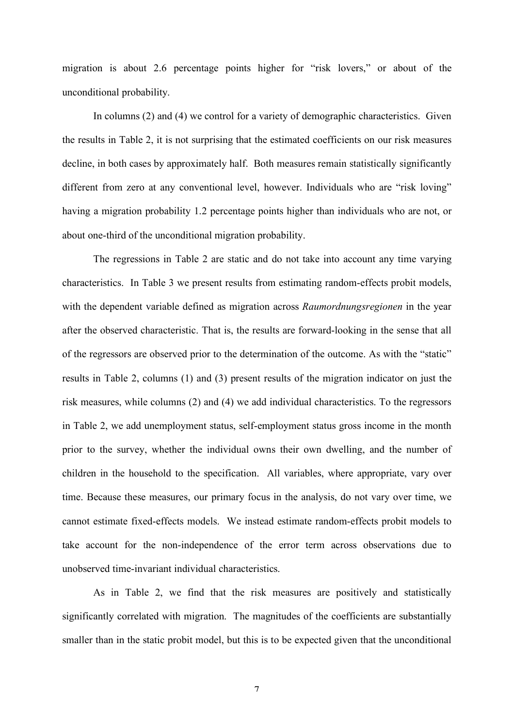migration is about 2.6 percentage points higher for "risk lovers," or about of the unconditional probability.

In columns (2) and (4) we control for a variety of demographic characteristics. Given the results in Table 2, it is not surprising that the estimated coefficients on our risk measures decline, in both cases by approximately half. Both measures remain statistically significantly different from zero at any conventional level, however. Individuals who are "risk loving" having a migration probability 1.2 percentage points higher than individuals who are not, or about one-third of the unconditional migration probability.

The regressions in Table 2 are static and do not take into account any time varying characteristics. In Table 3 we present results from estimating random-effects probit models, with the dependent variable defined as migration across *Raumordnungsregionen* in the year after the observed characteristic. That is, the results are forward-looking in the sense that all of the regressors are observed prior to the determination of the outcome. As with the "static" results in Table 2, columns (1) and (3) present results of the migration indicator on just the risk measures, while columns (2) and (4) we add individual characteristics. To the regressors in Table 2, we add unemployment status, self-employment status gross income in the month prior to the survey, whether the individual owns their own dwelling, and the number of children in the household to the specification. All variables, where appropriate, vary over time. Because these measures, our primary focus in the analysis, do not vary over time, we cannot estimate fixed-effects models. We instead estimate random-effects probit models to take account for the non-independence of the error term across observations due to unobserved time-invariant individual characteristics.

As in Table 2, we find that the risk measures are positively and statistically significantly correlated with migration. The magnitudes of the coefficients are substantially smaller than in the static probit model, but this is to be expected given that the unconditional

7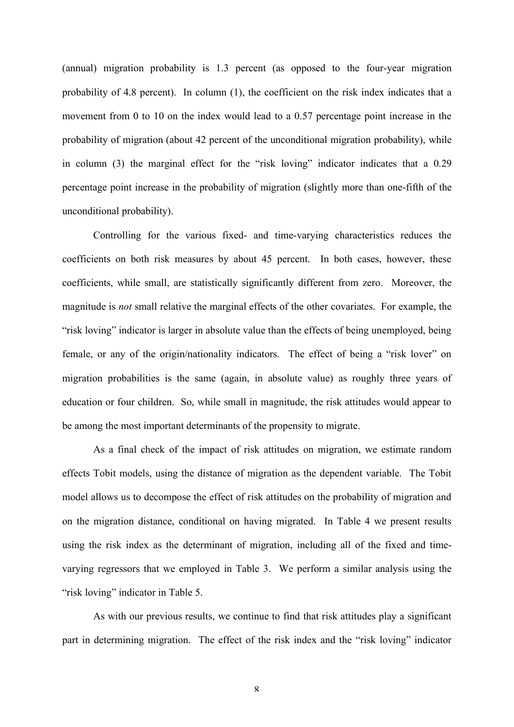(annual) migration probability is 1.3 percent (as opposed to the four-year migration probability of 4.8 percent). In column (1), the coefficient on the risk index indicates that a movement from 0 to 10 on the index would lead to a 0.57 percentage point increase in the probability of migration (about 42 percent of the unconditional migration probability), while in column (3) the marginal effect for the "risk loving" indicator indicates that a 0.29 percentage point increase in the probability of migration (slightly more than one-fifth of the unconditional probability).

Controlling for the various fixed- and time-varying characteristics reduces the coefficients on both risk measures by about 45 percent. In both cases, however, these coefficients, while small, are statistically significantly different from zero. Moreover, the magnitude is *not* small relative the marginal effects of the other covariates. For example, the "risk loving" indicator is larger in absolute value than the effects of being unemployed, being female, or any of the origin/nationality indicators. The effect of being a "risk lover" on migration probabilities is the same (again, in absolute value) as roughly three years of education or four children. So, while small in magnitude, the risk attitudes would appear to be among the most important determinants of the propensity to migrate.

As a final check of the impact of risk attitudes on migration, we estimate random effects Tobit models, using the distance of migration as the dependent variable. The Tobit model allows us to decompose the effect of risk attitudes on the probability of migration and on the migration distance, conditional on having migrated. In Table 4 we present results using the risk index as the determinant of migration, including all of the fixed and timevarying regressors that we employed in Table 3. We perform a similar analysis using the "risk loving" indicator in Table 5.

As with our previous results, we continue to find that risk attitudes play a significant part in determining migration. The effect of the risk index and the "risk loving" indicator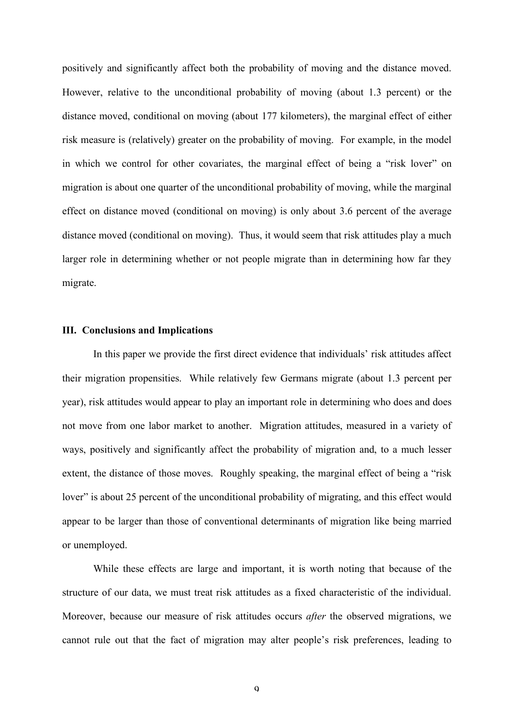positively and significantly affect both the probability of moving and the distance moved. However, relative to the unconditional probability of moving (about 1.3 percent) or the distance moved, conditional on moving (about 177 kilometers), the marginal effect of either risk measure is (relatively) greater on the probability of moving. For example, in the model in which we control for other covariates, the marginal effect of being a "risk lover" on migration is about one quarter of the unconditional probability of moving, while the marginal effect on distance moved (conditional on moving) is only about 3.6 percent of the average distance moved (conditional on moving). Thus, it would seem that risk attitudes play a much larger role in determining whether or not people migrate than in determining how far they migrate.

#### **III. Conclusions and Implications**

In this paper we provide the first direct evidence that individuals' risk attitudes affect their migration propensities. While relatively few Germans migrate (about 1.3 percent per year), risk attitudes would appear to play an important role in determining who does and does not move from one labor market to another. Migration attitudes, measured in a variety of ways, positively and significantly affect the probability of migration and, to a much lesser extent, the distance of those moves. Roughly speaking, the marginal effect of being a "risk lover" is about 25 percent of the unconditional probability of migrating, and this effect would appear to be larger than those of conventional determinants of migration like being married or unemployed.

While these effects are large and important, it is worth noting that because of the structure of our data, we must treat risk attitudes as a fixed characteristic of the individual. Moreover, because our measure of risk attitudes occurs *after* the observed migrations, we cannot rule out that the fact of migration may alter people's risk preferences, leading to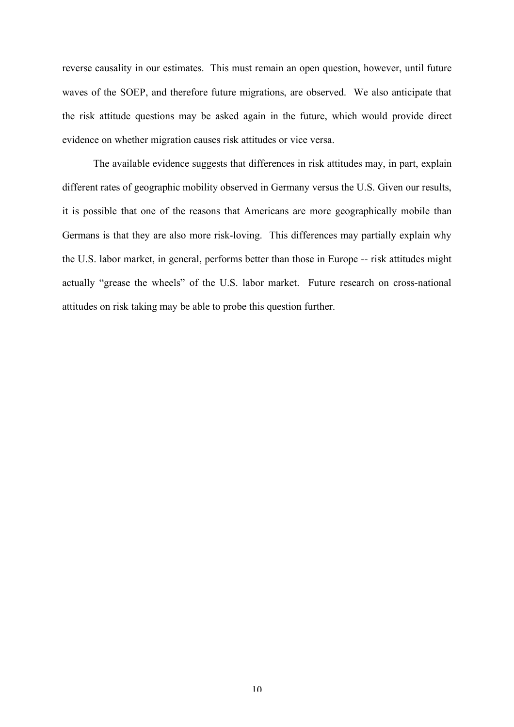reverse causality in our estimates. This must remain an open question, however, until future waves of the SOEP, and therefore future migrations, are observed. We also anticipate that the risk attitude questions may be asked again in the future, which would provide direct evidence on whether migration causes risk attitudes or vice versa.

The available evidence suggests that differences in risk attitudes may, in part, explain different rates of geographic mobility observed in Germany versus the U.S. Given our results, it is possible that one of the reasons that Americans are more geographically mobile than Germans is that they are also more risk-loving. This differences may partially explain why the U.S. labor market, in general, performs better than those in Europe -- risk attitudes might actually "grease the wheels" of the U.S. labor market. Future research on cross-national attitudes on risk taking may be able to probe this question further.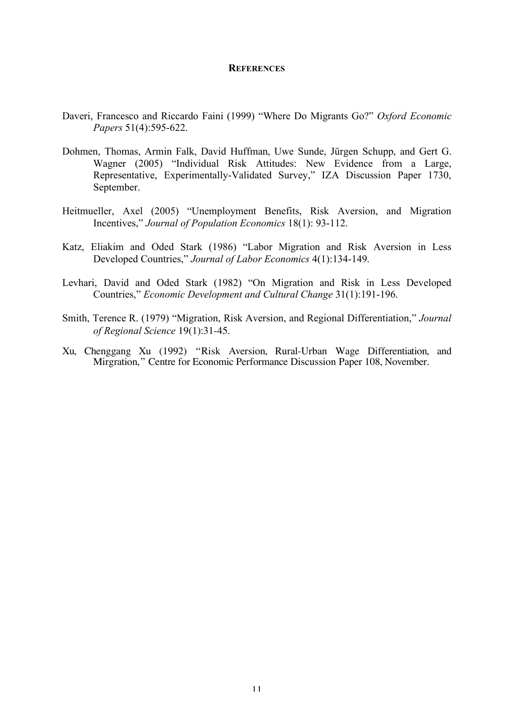### **REFERENCES**

- Daveri, Francesco and Riccardo Faini (1999) "Where Do Migrants Go?" *Oxford Economic Papers* 51(4):595-622.
- Dohmen, Thomas, Armin Falk, David Huffman, Uwe Sunde, Jürgen Schupp, and Gert G. Wagner (2005) "Individual Risk Attitudes: New Evidence from a Large, Representative, Experimentally-Validated Survey," IZA Discussion Paper 1730, September.
- Heitmueller, Axel (2005) "Unemployment Benefits, Risk Aversion, and Migration Incentives," *Journal of Population Economics* 18(1): 93-112.
- Katz, Eliakim and Oded Stark (1986) "Labor Migration and Risk Aversion in Less Developed Countries," *Journal of Labor Economics* 4(1):134-149.
- Levhari, David and Oded Stark (1982) "On Migration and Risk in Less Developed Countries," *Economic Development and Cultural Change* 31(1):191-196.
- Smith, Terence R. (1979) "Migration, Risk Aversion, and Regional Differentiation," *Journal of Regional Science* 19(1):31-45.
- Xu, Chenggang Xu (1992) "Risk Aversion, Rural-Urban Wage Differentiation, and Mirgration," Centre for Economic Performance Discussion Paper 108, November.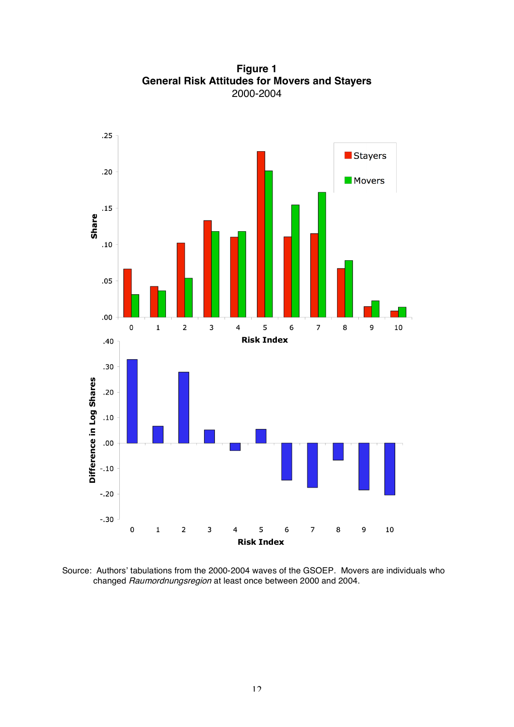

**Figure 1 General Risk Attitudes for Movers and Stayers** 2000-2004

Source: Authors' tabulations from the 2000-2004 waves of the GSOEP. Movers are individuals who changed Raumordnungsregion at least once between 2000 and 2004.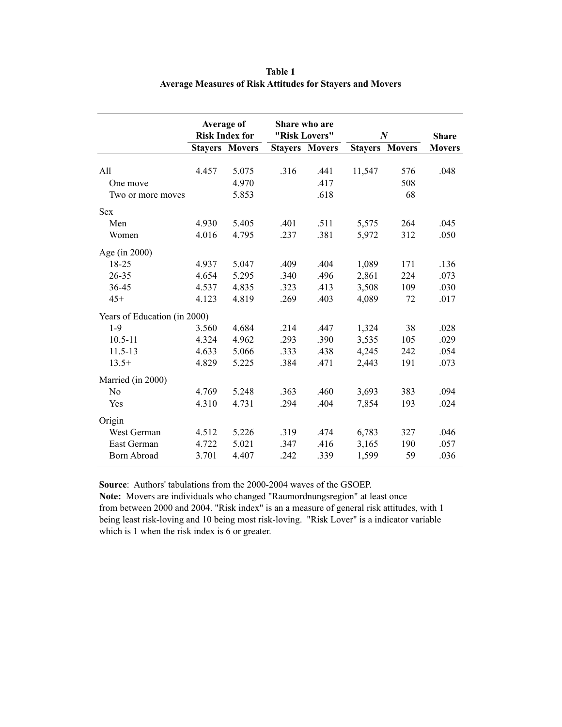|                              | Average of<br><b>Risk Index for</b> |                       |      | Share who are<br>"Risk Lovers" | $\boldsymbol{N}$ | <b>Share</b>          |               |
|------------------------------|-------------------------------------|-----------------------|------|--------------------------------|------------------|-----------------------|---------------|
|                              |                                     | <b>Stayers Movers</b> |      | <b>Stayers Movers</b>          |                  | <b>Stayers Movers</b> | <b>Movers</b> |
|                              |                                     |                       |      |                                |                  |                       |               |
| All                          | 4.457                               | 5.075                 | .316 | .441                           | 11,547           | 576                   | .048          |
| One move                     |                                     | 4.970                 |      | .417                           |                  | 508                   |               |
| Two or more moves            |                                     | 5.853                 |      | .618                           |                  | 68                    |               |
| <b>Sex</b>                   |                                     |                       |      |                                |                  |                       |               |
| Men                          | 4.930                               | 5.405                 | .401 | .511                           | 5,575            | 264                   | .045          |
| Women                        | 4.016                               | 4.795                 | .237 | .381                           | 5,972            | 312                   | .050          |
| Age (in 2000)                |                                     |                       |      |                                |                  |                       |               |
| 18-25                        | 4.937                               | 5.047                 | .409 | .404                           | 1,089            | 171                   | .136          |
| 26-35                        | 4.654                               | 5.295                 | .340 | .496                           | 2,861            | 224                   | .073          |
| 36-45                        | 4.537                               | 4.835                 | .323 | .413                           | 3,508            | 109                   | .030          |
| $45+$                        | 4.123                               | 4.819                 | .269 | .403                           | 4,089            | 72                    | .017          |
| Years of Education (in 2000) |                                     |                       |      |                                |                  |                       |               |
| $1-9$                        | 3.560                               | 4.684                 | .214 | .447                           | 1,324            | 38                    | .028          |
| $10.5 - 11$                  | 4.324                               | 4.962                 | .293 | .390                           | 3,535            | 105                   | .029          |
| $11.5 - 13$                  | 4.633                               | 5.066                 | .333 | .438                           | 4,245            | 242                   | .054          |
| $13.5+$                      | 4.829                               | 5.225                 | .384 | .471                           | 2,443            | 191                   | .073          |
| Married (in 2000)            |                                     |                       |      |                                |                  |                       |               |
| N <sub>0</sub>               | 4.769                               | 5.248                 | .363 | .460                           | 3,693            | 383                   | .094          |
| Yes                          | 4.310                               | 4.731                 | .294 | .404                           | 7,854            | 193                   | .024          |
| Origin                       |                                     |                       |      |                                |                  |                       |               |
| West German                  | 4.512                               | 5.226                 | .319 | .474                           | 6,783            | 327                   | .046          |
| East German                  | 4.722                               | 5.021                 | .347 | .416                           | 3,165            | 190                   | .057          |
| <b>Born Abroad</b>           | 3.701                               | 4.407                 | .242 | .339                           | 1,599            | 59                    | .036          |

**Table 1 Average Measures of Risk Attitudes for Stayers and Movers**

**Note:** Movers are individuals who changed "Raumordnungsregion" at least once from between 2000 and 2004. "Risk index" is an a measure of general risk attitudes, with 1 being least risk-loving and 10 being most risk-loving. "Risk Lover" is a indicator variable which is 1 when the risk index is 6 or greater.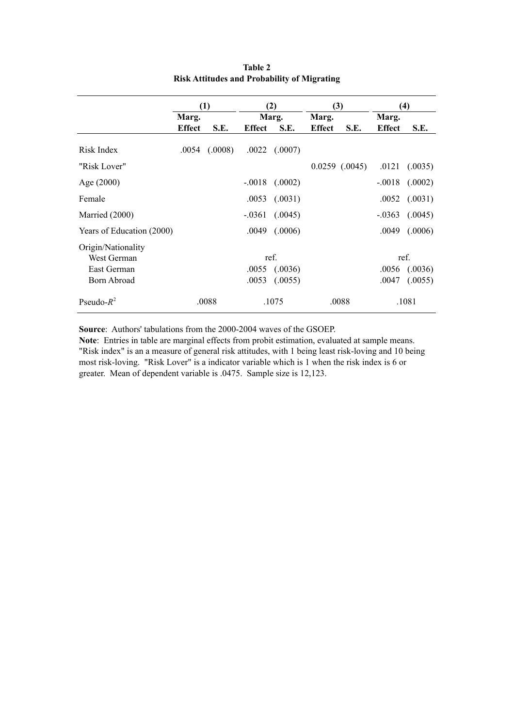|                                                                        | (1)           |         | (2)           |                                      | (3)           |                    | $\bf(4)$      |                                      |
|------------------------------------------------------------------------|---------------|---------|---------------|--------------------------------------|---------------|--------------------|---------------|--------------------------------------|
|                                                                        | Marg.         |         | Marg.         |                                      | Marg.         |                    | Marg.         |                                      |
|                                                                        | <b>Effect</b> | S.E.    | <b>Effect</b> | S.E.                                 | <b>Effect</b> | S.E.               | <b>Effect</b> | S.E.                                 |
| Risk Index                                                             | .0054         | (.0008) |               | $.0022$ $(.0007)$                    |               |                    |               |                                      |
| "Risk Lover"                                                           |               |         |               |                                      |               | $0.0259$ $(.0045)$ |               | $.0121$ $(.0035)$                    |
| Age (2000)                                                             |               |         | $-.0018$      | (.0002)                              |               |                    | $-.0018$      | (.0002)                              |
| Female                                                                 |               |         | .0053         | (.0031)                              |               |                    | .0052         | (.0031)                              |
| Married (2000)                                                         |               |         | $-.0361$      | (.0045)                              |               |                    | $-.0363$      | (.0045)                              |
| Years of Education (2000)                                              |               |         |               | $.0049$ $(.0006)$                    |               |                    |               | $.0049$ $(.0006)$                    |
| Origin/Nationality<br>West German<br>East German<br><b>Born Abroad</b> |               |         | .0053         | ref.<br>$.0055$ $(.0036)$<br>(.0055) |               |                    | .0047         | ref.<br>$.0056$ $(.0036)$<br>(.0055) |
| Pseudo- $R^2$                                                          |               | .0088   |               | .1075                                |               | .0088              |               | .1081                                |

### **Table 2 Risk Attitudes and Probability of Migrating**

**Source**: Authors' tabulations from the 2000-2004 waves of the GSOEP.

**Note**: Entries in table are marginal effects from probit estimation, evaluated at sample means. "Risk index" is an a measure of general risk attitudes, with 1 being least risk-loving and 10 being most risk-loving. "Risk Lover" is a indicator variable which is 1 when the risk index is 6 or greater. Mean of dependent variable is .0475. Sample size is 12,123.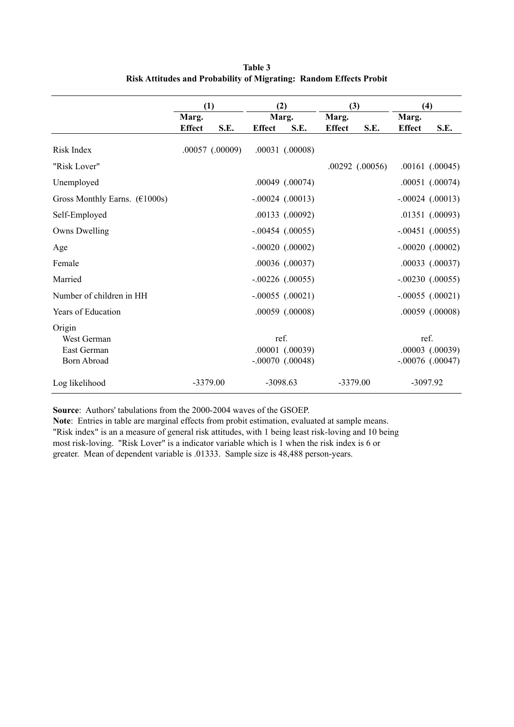|                                                            | (1)           |                     | (2)           |                                         | (3)           |                     | (4)           |                                         |
|------------------------------------------------------------|---------------|---------------------|---------------|-----------------------------------------|---------------|---------------------|---------------|-----------------------------------------|
|                                                            | Marg.         |                     | Marg.         |                                         | Marg.         |                     | Marg.         |                                         |
|                                                            | <b>Effect</b> | S.E.                | <b>Effect</b> | S.E.                                    | <b>Effect</b> | S.E.                | <b>Effect</b> | S.E.                                    |
| Risk Index                                                 |               | $.00057$ $(.00009)$ |               | $.00031$ $(.00008)$                     |               |                     |               |                                         |
| "Risk Lover"                                               |               |                     |               |                                         |               | $.00292$ $(.00056)$ |               | $.00161$ $(.00045)$                     |
| Unemployed                                                 |               |                     |               | .00049 (.00074)                         |               |                     |               | $.00051$ $(.00074)$                     |
| Gross Monthly Earns. $(\text{\textsterling}1000s)$         |               |                     |               | $-.00024$ $(.00013)$                    |               |                     |               | $-.00024$ $(.00013)$                    |
| Self-Employed                                              |               |                     |               | $.00133$ $(.00092)$                     |               |                     |               | $.01351$ $(.00093)$                     |
| Owns Dwelling                                              |               |                     |               | $-.00454$ $(.00055)$                    |               |                     |               | $-.00451$ $(.00055)$                    |
| Age                                                        |               |                     |               | $-.00020$ $(.00002)$                    |               |                     |               | $-.00020$ $(.00002)$                    |
| Female                                                     |               |                     |               | $.00036$ $(.00037)$                     |               |                     |               | $.00033$ $(.00037)$                     |
| Married                                                    |               |                     |               | $-.00226(.00055)$                       |               |                     |               | $-.00230$ $(.00055)$                    |
| Number of children in HH                                   |               |                     |               | $-.00055$ $(.00021)$                    |               |                     |               | $-.00055$ $(.00021)$                    |
| Years of Education                                         |               |                     |               | $.00059$ $(.00008)$                     |               |                     |               | $.00059$ $(.00008)$                     |
| Origin<br>West German<br>East German<br><b>Born Abroad</b> |               |                     | ref.          | .00001 (.00039)<br>$-.00070$ $(.00048)$ |               |                     | ref.          | .00003 (.00039)<br>$-.00076$ $(.00047)$ |
| Log likelihood                                             |               | $-3379.00$          | $-3098.63$    |                                         | $-3379.00$    |                     |               | $-3097.92$                              |

**Table 3 Risk Attitudes and Probability of Migrating: Random Effects Probit**

**Note**: Entries in table are marginal effects from probit estimation, evaluated at sample means. "Risk index" is an a measure of general risk attitudes, with 1 being least risk-loving and 10 being most risk-loving. "Risk Lover" is a indicator variable which is 1 when the risk index is 6 or greater. Mean of dependent variable is .01333. Sample size is 48,488 person-years.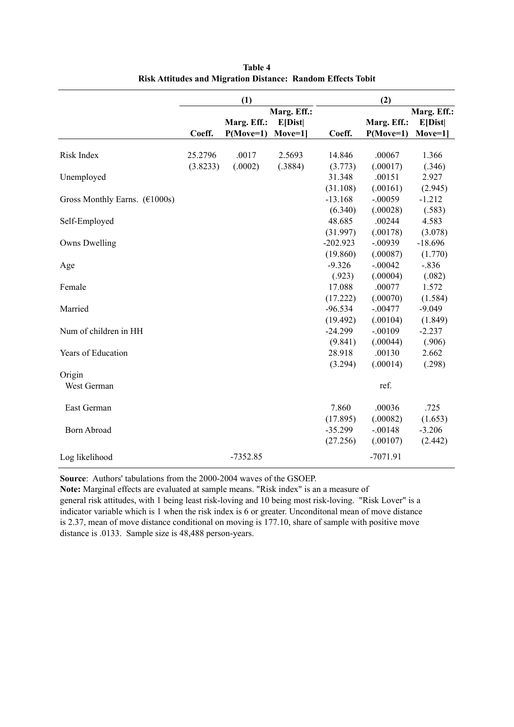|                                                    |          | (1)         |             | (2)        |             |             |  |
|----------------------------------------------------|----------|-------------|-------------|------------|-------------|-------------|--|
|                                                    |          |             | Marg. Eff.: |            |             | Marg. Eff.: |  |
|                                                    |          | Marg. Eff.: | E[Dist]     |            | Marg. Eff.: | E[Dist]     |  |
|                                                    | Coeff.   | $P(Move=1)$ | Move=11     | Coeff.     | $P(Move=1)$ | Move=1      |  |
|                                                    |          |             |             |            |             |             |  |
| Risk Index                                         | 25.2796  | .0017       | 2.5693      | 14.846     | .00067      | 1.366       |  |
|                                                    | (3.8233) | (.0002)     | (.3884)     | (3.773)    | (.00017)    | (.346)      |  |
| Unemployed                                         |          |             |             | 31.348     | .00151      | 2.927       |  |
|                                                    |          |             |             | (31.108)   | (.00161)    | (2.945)     |  |
| Gross Monthly Earns. $(\text{\textsterling}1000s)$ |          |             |             | $-13.168$  | $-.00059$   | $-1.212$    |  |
|                                                    |          |             |             | (6.340)    | (.00028)    | (.583)      |  |
| Self-Employed                                      |          |             |             | 48.685     | .00244      | 4.583       |  |
|                                                    |          |             |             | (31.997)   | (.00178)    | (3.078)     |  |
| Owns Dwelling                                      |          |             |             | $-202.923$ | $-.00939$   | $-18.696$   |  |
|                                                    |          |             |             | (19.860)   | (.00087)    | (1.770)     |  |
| Age                                                |          |             |             | $-9.326$   | $-.00042$   | $-.836$     |  |
|                                                    |          |             |             | (.923)     | (.00004)    | (.082)      |  |
| Female                                             |          |             |             | 17.088     | .00077      | 1.572       |  |
|                                                    |          |             |             | (17.222)   | (.00070)    | (1.584)     |  |
| Married                                            |          |             |             | $-96.534$  | $-.00477$   | $-9.049$    |  |
|                                                    |          |             |             | (19.492)   | (.00104)    | (1.849)     |  |
| Num of children in HH                              |          |             |             | $-24.299$  | $-.00109$   | $-2.237$    |  |
|                                                    |          |             |             | (9.841)    | (.00044)    | (.906)      |  |
| Years of Education                                 |          |             |             | 28.918     | .00130      | 2.662       |  |
|                                                    |          |             |             | (3.294)    | (.00014)    | (.298)      |  |
| Origin<br>West German                              |          |             |             |            | ref.        |             |  |
| East German                                        |          |             |             | 7.860      | .00036      | .725        |  |
|                                                    |          |             |             | (17.895)   | (.00082)    | (1.653)     |  |
| <b>Born Abroad</b>                                 |          |             |             | $-35.299$  | $-.00148$   | $-3.206$    |  |
|                                                    |          |             |             | (27.256)   | (.00107)    | (2.442)     |  |
|                                                    |          |             |             |            |             |             |  |
| Log likelihood                                     |          | $-7352.85$  |             |            | $-7071.91$  |             |  |

| Table 4                                                            |  |  |  |  |  |  |
|--------------------------------------------------------------------|--|--|--|--|--|--|
| <b>Risk Attitudes and Migration Distance: Random Effects Tobit</b> |  |  |  |  |  |  |

**Note:** Marginal effects are evaluated at sample means. "Risk index" is an a measure of general risk attitudes, with 1 being least risk-loving and 10 being most risk-loving. "Risk Lover" is a indicator variable which is 1 when the risk index is 6 or greater. Unconditonal mean of move distance is 2.37, mean of move distance conditional on moving is 177.10, share of sample with positive move distance is .0133. Sample size is 48,488 person-years.